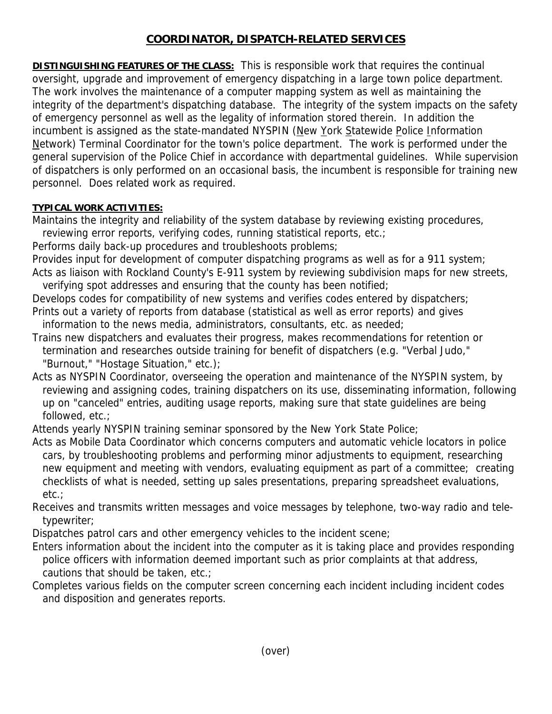## **COORDINATOR, DISPATCH-RELATED SERVICES**

**DISTINGUISHING FEATURES OF THE CLASS:** This is responsible work that requires the continual oversight, upgrade and improvement of emergency dispatching in a large town police department. The work involves the maintenance of a computer mapping system as well as maintaining the integrity of the department's dispatching database. The integrity of the system impacts on the safety of emergency personnel as well as the legality of information stored therein. In addition the incumbent is assigned as the state-mandated NYSPIN (New York Statewide Police Information Network) Terminal Coordinator for the town's police department. The work is performed under the general supervision of the Police Chief in accordance with departmental guidelines. While supervision of dispatchers is only performed on an occasional basis, the incumbent is responsible for training new personnel. Does related work as required.

## **TYPICAL WORK ACTIVITIES:**

Maintains the integrity and reliability of the system database by reviewing existing procedures,

reviewing error reports, verifying codes, running statistical reports, etc.;

Performs daily back-up procedures and troubleshoots problems;

Provides input for development of computer dispatching programs as well as for a 911 system; Acts as liaison with Rockland County's E-911 system by reviewing subdivision maps for new streets,

verifying spot addresses and ensuring that the county has been notified;

Develops codes for compatibility of new systems and verifies codes entered by dispatchers; Prints out a variety of reports from database (statistical as well as error reports) and gives

information to the news media, administrators, consultants, etc. as needed;

Trains new dispatchers and evaluates their progress, makes recommendations for retention or termination and researches outside training for benefit of dispatchers (e.g. "Verbal Judo," "Burnout," "Hostage Situation," etc.);

Acts as NYSPIN Coordinator, overseeing the operation and maintenance of the NYSPIN system, by reviewing and assigning codes, training dispatchers on its use, disseminating information, following up on "canceled" entries, auditing usage reports, making sure that state guidelines are being followed, etc.;

Attends yearly NYSPIN training seminar sponsored by the New York State Police;

Acts as Mobile Data Coordinator which concerns computers and automatic vehicle locators in police cars, by troubleshooting problems and performing minor adjustments to equipment, researching new equipment and meeting with vendors, evaluating equipment as part of a committee; creating checklists of what is needed, setting up sales presentations, preparing spreadsheet evaluations, etc.;

Receives and transmits written messages and voice messages by telephone, two-way radio and tele typewriter;

Dispatches patrol cars and other emergency vehicles to the incident scene;

Enters information about the incident into the computer as it is taking place and provides responding police officers with information deemed important such as prior complaints at that address, cautions that should be taken, etc.;

Completes various fields on the computer screen concerning each incident including incident codes and disposition and generates reports.